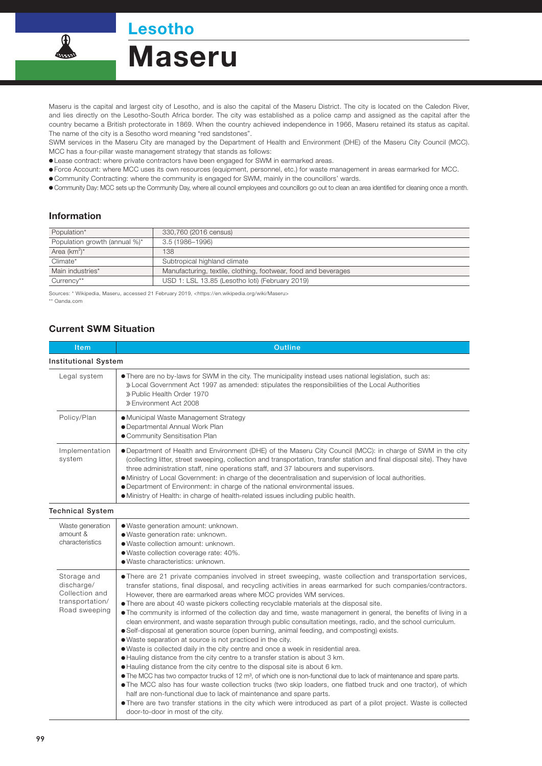Lesotho

Maseru



Maseru is the capital and largest city of Lesotho, and is also the capital of the Maseru District. The city is located on the Caledon River, and lies directly on the Lesotho-South Africa border. The city was established as a police camp and assigned as the capital after the country became a British protectorate in 1869. When the country achieved independence in 1966, Maseru retained its status as capital. The name of the city is a Sesotho word meaning "red sandstones".

SWM services in the Maseru City are managed by the Department of Health and Environment (DHE) of the Maseru City Council (MCC). MCC has a four-pillar waste management strategy that stands as follows:

Lease contract: where private contractors have been engaged for SWM in earmarked areas.

Force Account: where MCC uses its own resources (equipment, personnel, etc.) for waste management in areas earmarked for MCC.

Community Contracting: where the community is engaged for SWM, mainly in the councillors' wards.

Community Day: MCC sets up the Community Day, where all council employees and councillors go out to clean an area identified for cleaning once a month.

## Information

| Population*                   | 330,760 (2016 census)                                          |
|-------------------------------|----------------------------------------------------------------|
| Population growth (annual %)* | 3.5 (1986–1996)                                                |
| Area $(km^2)^*$               | 138                                                            |
| Climate*                      | Subtropical highland climate                                   |
| Main industries*              | Manufacturing, textile, clothing, footwear, food and beverages |
| Currency**                    | USD 1: LSL 13.85 (Lesotho loti) (February 2019)                |

Sources: \* Wikipedia, Maseru, accessed 21 February 2019, <https://en.wikipedia.org/wiki/Maseru> \*\* Oanda.com

## Current SWM Situation

| Item                                                                            | <b>Outline</b>                                                                                                                                                                                                                                                                                                                                                                                                                                                                                                                                                                                                                                                                                                                                                                                                                                                                                                                                                                                                                                                                                                                                                                                                                                                                                                                                                                                                                                                                                                                                                    |  |  |
|---------------------------------------------------------------------------------|-------------------------------------------------------------------------------------------------------------------------------------------------------------------------------------------------------------------------------------------------------------------------------------------------------------------------------------------------------------------------------------------------------------------------------------------------------------------------------------------------------------------------------------------------------------------------------------------------------------------------------------------------------------------------------------------------------------------------------------------------------------------------------------------------------------------------------------------------------------------------------------------------------------------------------------------------------------------------------------------------------------------------------------------------------------------------------------------------------------------------------------------------------------------------------------------------------------------------------------------------------------------------------------------------------------------------------------------------------------------------------------------------------------------------------------------------------------------------------------------------------------------------------------------------------------------|--|--|
| <b>Institutional System</b>                                                     |                                                                                                                                                                                                                                                                                                                                                                                                                                                                                                                                                                                                                                                                                                                                                                                                                                                                                                                                                                                                                                                                                                                                                                                                                                                                                                                                                                                                                                                                                                                                                                   |  |  |
| Legal system                                                                    | • There are no by-laws for SWM in the city. The municipality instead uses national legislation, such as:<br>» Local Government Act 1997 as amended: stipulates the responsibilities of the Local Authorities<br>» Public Health Order 1970<br>» Environment Act 2008                                                                                                                                                                                                                                                                                                                                                                                                                                                                                                                                                                                                                                                                                                                                                                                                                                                                                                                                                                                                                                                                                                                                                                                                                                                                                              |  |  |
| Policy/Plan                                                                     | • Municipal Waste Management Strategy<br>· Departmental Annual Work Plan<br>• Community Sensitisation Plan                                                                                                                                                                                                                                                                                                                                                                                                                                                                                                                                                                                                                                                                                                                                                                                                                                                                                                                                                                                                                                                                                                                                                                                                                                                                                                                                                                                                                                                        |  |  |
| Implementation<br>system                                                        | • Department of Health and Environment (DHE) of the Maseru City Council (MCC): in charge of SWM in the city<br>(collecting litter, street sweeping, collection and transportation, transfer station and final disposal site). They have<br>three administration staff, nine operations staff, and 37 labourers and supervisors.<br>• Ministry of Local Government: in charge of the decentralisation and supervision of local authorities.<br>• Department of Environment: in charge of the national environmental issues.<br>• Ministry of Health: in charge of health-related issues including public health.                                                                                                                                                                                                                                                                                                                                                                                                                                                                                                                                                                                                                                                                                                                                                                                                                                                                                                                                                   |  |  |
| <b>Technical System</b>                                                         |                                                                                                                                                                                                                                                                                                                                                                                                                                                                                                                                                                                                                                                                                                                                                                                                                                                                                                                                                                                                                                                                                                                                                                                                                                                                                                                                                                                                                                                                                                                                                                   |  |  |
| Waste generation<br>amount &<br>characteristics                                 | · Waste generation amount: unknown.<br>· Waste generation rate: unknown.<br>· Waste collection amount: unknown.<br>· Waste collection coverage rate: 40%.<br>· Waste characteristics: unknown.                                                                                                                                                                                                                                                                                                                                                                                                                                                                                                                                                                                                                                                                                                                                                                                                                                                                                                                                                                                                                                                                                                                                                                                                                                                                                                                                                                    |  |  |
| Storage and<br>discharge/<br>Collection and<br>transportation/<br>Road sweeping | • There are 21 private companies involved in street sweeping, waste collection and transportation services,<br>transfer stations, final disposal, and recycling activities in areas earmarked for such companies/contractors.<br>However, there are earmarked areas where MCC provides WM services.<br>• There are about 40 waste pickers collecting recyclable materials at the disposal site.<br>• The community is informed of the collection day and time, waste management in general, the benefits of living in a<br>clean environment, and waste separation through public consultation meetings, radio, and the school curriculum.<br>• Self-disposal at generation source (open burning, animal feeding, and composting) exists.<br>• Waste separation at source is not practiced in the city.<br>• Waste is collected daily in the city centre and once a week in residential area.<br>• Hauling distance from the city centre to a transfer station is about 3 km.<br>• Hauling distance from the city centre to the disposal site is about 6 km.<br>$\bullet$ The MCC has two compactor trucks of 12 m <sup>3</sup> , of which one is non-functional due to lack of maintenance and spare parts.<br>• The MCC also has four waste collection trucks (two skip loaders, one flatbed truck and one tractor), of which<br>half are non-functional due to lack of maintenance and spare parts.<br>• There are two transfer stations in the city which were introduced as part of a pilot project. Waste is collected<br>door-to-door in most of the city. |  |  |

99